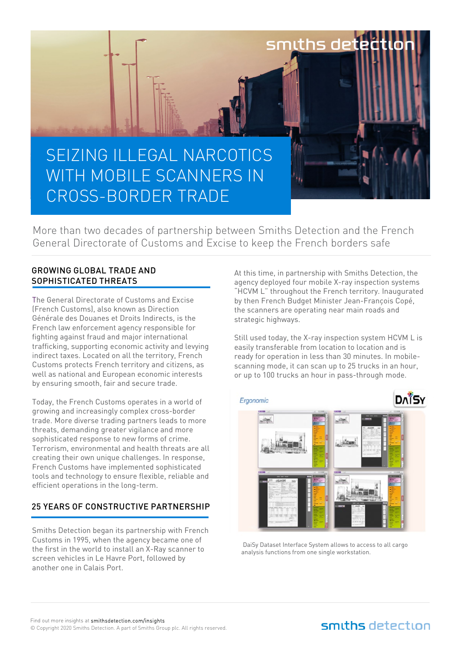

More than two decades of partnership between Smiths Detection and the French General Directorate of Customs and Excise to keep the French borders safe

#### GROWING GLOBAL TRADE AND SOPHISTICATED THREATS

The General Directorate of Customs and Excise (French Customs), also known as Direction Générale des Douanes et Droits Indirects, is the French law enforcement agency responsible for fighting against fraud and major international trafficking, supporting economic activity and levying indirect taxes. Located on all the territory, French Customs protects French territory and citizens, as well as national and European economic interests by ensuring smooth, fair and secure trade.

Today, the French Customs operates in a world of growing and increasingly complex cross-border trade. More diverse trading partners leads to more threats, demanding greater vigilance and more sophisticated response to new forms of crime. Terrorism, environmental and health threats are all creating their own unique challenges. In response, French Customs have implemented sophisticated tools and technology to ensure flexible, reliable and efficient operations in the long-term.

#### 25 YEARS OF CONSTRUCTIVE PARTNERSHIP

Smiths Detection began its partnership with French Customs in 1995, when the agency became one of the first in the world to install an X-Ray scanner to screen vehicles in Le Havre Port, followed by another one in Calais Port.

At this time, in partnership with Smiths Detection, the agency deployed four mobile X-ray inspection systems "HCVM L" throughout the French territory. Inaugurated by then French Budget Minister Jean-François Copé, the scanners are operating near main roads and strategic highways.

Still used today, the X-ray inspection system HCVM L is easily transferable from location to location and is ready for operation in less than 30 minutes. In mobilescanning mode, it can scan up to 25 trucks in an hour, or up to 100 trucks an hour in pass-through mode.



DaiSy Dataset Interface System allows to access to all cargo analysis functions from one single workstation.

# smiths detection